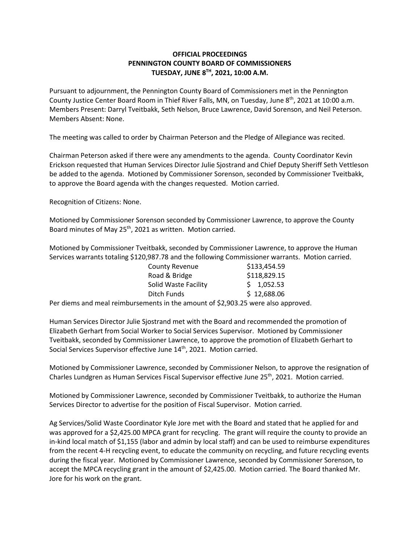## **OFFICIAL PROCEEDINGS PENNINGTON COUNTY BOARD OF COMMISSIONERS TUESDAY, JUNE 8TH , 2021, 10:00 A.M.**

Pursuant to adjournment, the Pennington County Board of Commissioners met in the Pennington County Justice Center Board Room in Thief River Falls, MN, on Tuesday, June 8<sup>th</sup>, 2021 at 10:00 a.m. Members Present: Darryl Tveitbakk, Seth Nelson, Bruce Lawrence, David Sorenson, and Neil Peterson. Members Absent: None.

The meeting was called to order by Chairman Peterson and the Pledge of Allegiance was recited.

Chairman Peterson asked if there were any amendments to the agenda. County Coordinator Kevin Erickson requested that Human Services Director Julie Sjostrand and Chief Deputy Sheriff Seth Vettleson be added to the agenda. Motioned by Commissioner Sorenson, seconded by Commissioner Tveitbakk, to approve the Board agenda with the changes requested. Motion carried.

Recognition of Citizens: None.

Motioned by Commissioner Sorenson seconded by Commissioner Lawrence, to approve the County Board minutes of May 25<sup>th</sup>, 2021 as written. Motion carried.

Motioned by Commissioner Tveitbakk, seconded by Commissioner Lawrence, to approve the Human Services warrants totaling \$120,987.78 and the following Commissioner warrants. Motion carried.

| <b>County Revenue</b> | \$133,454.59 |
|-----------------------|--------------|
| Road & Bridge         | \$118,829.15 |
| Solid Waste Facility  | \$1,052.53   |
| Ditch Funds           | \$12,688.06  |

Per diems and meal reimbursements in the amount of \$2,903.25 were also approved.

Human Services Director Julie Sjostrand met with the Board and recommended the promotion of Elizabeth Gerhart from Social Worker to Social Services Supervisor. Motioned by Commissioner Tveitbakk, seconded by Commissioner Lawrence, to approve the promotion of Elizabeth Gerhart to Social Services Supervisor effective June 14<sup>th</sup>, 2021. Motion carried.

Motioned by Commissioner Lawrence, seconded by Commissioner Nelson, to approve the resignation of Charles Lundgren as Human Services Fiscal Supervisor effective June 25<sup>th</sup>, 2021. Motion carried.

Motioned by Commissioner Lawrence, seconded by Commissioner Tveitbakk, to authorize the Human Services Director to advertise for the position of Fiscal Supervisor. Motion carried.

Ag Services/Solid Waste Coordinator Kyle Jore met with the Board and stated that he applied for and was approved for a \$2,425.00 MPCA grant for recycling. The grant will require the county to provide an in-kind local match of \$1,155 (labor and admin by local staff) and can be used to reimburse expenditures from the recent 4-H recycling event, to educate the community on recycling, and future recycling events during the fiscal year. Motioned by Commissioner Lawrence, seconded by Commissioner Sorenson, to accept the MPCA recycling grant in the amount of \$2,425.00. Motion carried. The Board thanked Mr. Jore for his work on the grant.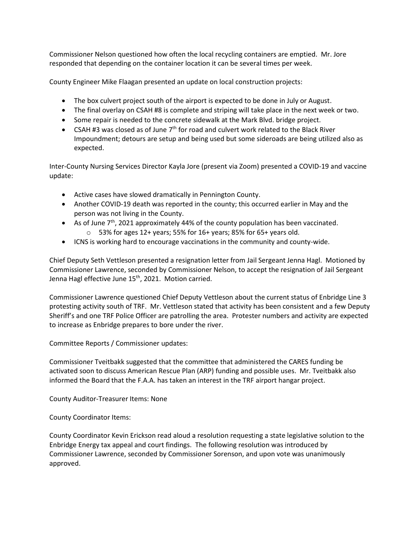Commissioner Nelson questioned how often the local recycling containers are emptied. Mr. Jore responded that depending on the container location it can be several times per week.

County Engineer Mike Flaagan presented an update on local construction projects:

- The box culvert project south of the airport is expected to be done in July or August.
- The final overlay on CSAH #8 is complete and striping will take place in the next week or two.
- Some repair is needed to the concrete sidewalk at the Mark Blvd. bridge project.
- CSAH #3 was closed as of June  $7<sup>th</sup>$  for road and culvert work related to the Black River Impoundment; detours are setup and being used but some sideroads are being utilized also as expected.

Inter-County Nursing Services Director Kayla Jore (present via Zoom) presented a COVID-19 and vaccine update:

- Active cases have slowed dramatically in Pennington County.
- Another COVID-19 death was reported in the county; this occurred earlier in May and the person was not living in the County.
- As of June 7<sup>th</sup>, 2021 approximately 44% of the county population has been vaccinated.
	- $\circ$  53% for ages 12+ years; 55% for 16+ years; 85% for 65+ years old.
- ICNS is working hard to encourage vaccinations in the community and county-wide.

Chief Deputy Seth Vettleson presented a resignation letter from Jail Sergeant Jenna Hagl. Motioned by Commissioner Lawrence, seconded by Commissioner Nelson, to accept the resignation of Jail Sergeant Jenna Hagl effective June 15<sup>th</sup>, 2021. Motion carried.

Commissioner Lawrence questioned Chief Deputy Vettleson about the current status of Enbridge Line 3 protesting activity south of TRF. Mr. Vettleson stated that activity has been consistent and a few Deputy Sheriff's and one TRF Police Officer are patrolling the area. Protester numbers and activity are expected to increase as Enbridge prepares to bore under the river.

Committee Reports / Commissioner updates:

Commissioner Tveitbakk suggested that the committee that administered the CARES funding be activated soon to discuss American Rescue Plan (ARP) funding and possible uses. Mr. Tveitbakk also informed the Board that the F.A.A. has taken an interest in the TRF airport hangar project.

County Auditor-Treasurer Items: None

County Coordinator Items:

County Coordinator Kevin Erickson read aloud a resolution requesting a state legislative solution to the Enbridge Energy tax appeal and court findings. The following resolution was introduced by Commissioner Lawrence, seconded by Commissioner Sorenson, and upon vote was unanimously approved.